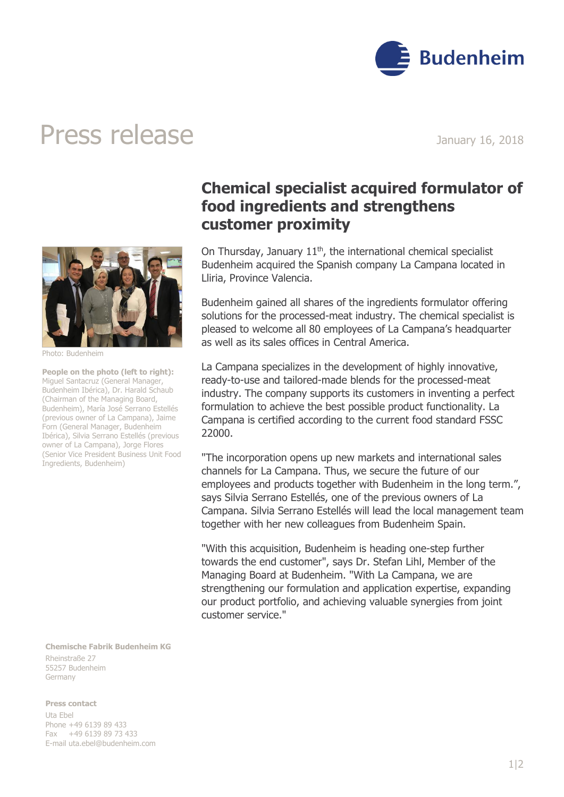

## Press release January 16, 2018



Photo: Budenheim

**People on the photo (left to right):** Miguel Santacruz (General Manager, Budenheim Ibérica), Dr. Harald Schaub (Chairman of the Managing Board, Budenheim), María José Serrano Estellés (previous owner of La Campana), Jaime Forn (General Manager, Budenheim Ibérica), Silvia Serrano Estellés (previous owner of La Campana), Jorge Flores (Senior Vice President Business Unit Food Ingredients, Budenheim)

**Chemische Fabrik Budenheim KG** Rheinstraße 27 55257 Budenheim Germany

**Press contact**

Uta Ebel Phone +49 6139 89 433 Fax +49 6139 89 73 433 E-mail [uta.ebel@budenheim.com](mailto:uta.ebel@budenheim.com)

## **Chemical specialist acquired formulator of food ingredients and strengthens customer proximity**

On Thursday, January  $11<sup>th</sup>$ , the international chemical specialist Budenheim acquired the Spanish company La Campana located in Lliria, Province Valencia.

Budenheim gained all shares of the ingredients formulator offering solutions for the processed-meat industry. The chemical specialist is pleased to welcome all 80 employees of La Campana's headquarter as well as its sales offices in Central America.

La Campana specializes in the development of highly innovative, ready-to-use and tailored-made blends for the processed-meat industry. The company supports its customers in inventing a perfect formulation to achieve the best possible product functionality. La Campana is certified according to the current food standard FSSC 22000.

"The incorporation opens up new markets and international sales channels for La Campana. Thus, we secure the future of our employees and products together with Budenheim in the long term.", says Silvia Serrano Estellés, one of the previous owners of La Campana. Silvia Serrano Estellés will lead the local management team together with her new colleagues from Budenheim Spain.

"With this acquisition, Budenheim is heading one-step further towards the end customer", says Dr. Stefan Lihl, Member of the Managing Board at Budenheim. "With La Campana, we are strengthening our formulation and application expertise, expanding our product portfolio, and achieving valuable synergies from joint customer service."